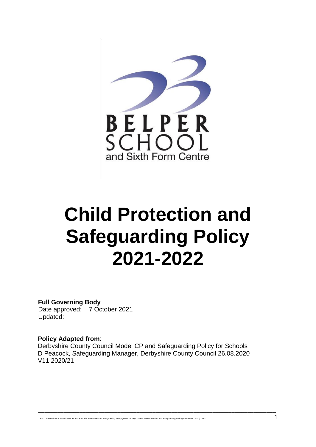

# **Child Protection and Safeguarding Policy 2021-2022**

**Full Governing Body**  Date approved: 7 October 2021 Updated:

#### **Policy Adapted from**:

Derbyshire County Council Model CP and Safeguarding Policy for Schools D Peacock, Safeguarding Manager, Derbyshire County Council 26.08.2020 V11 2020/21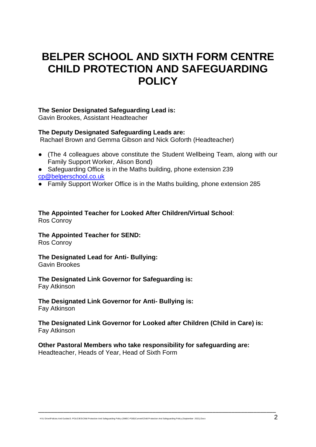# **BELPER SCHOOL AND SIXTH FORM CENTRE CHILD PROTECTION AND SAFEGUARDING POLICY**

#### **The Senior Designated Safeguarding Lead is:**

Gavin Brookes, Assistant Headteacher

#### **The Deputy Designated Safeguarding Leads are:**

Rachael Brown and Gemma Gibson and Nick Goforth (Headteacher)

- (The 4 colleagues above constitute the Student Wellbeing Team, along with our Family Support Worker, Alison Bond)
- Safeguarding Office is in the Maths building, phone extension 239 [cp@belperschool.co.uk](mailto:cp@belperschool.co.uk)
- Family Support Worker Office is in the Maths building, phone extension 285

#### **The Appointed Teacher for Looked After Children/Virtual School**: Ros Conroy

# **The Appointed Teacher for SEND:**

Ros Conroy

#### **The Designated Lead for Anti- Bullying:** Gavin Brookes

#### **The Designated Link Governor for Safeguarding is:**  Fay Atkinson

# **The Designated Link Governor for Anti- Bullying is:**

Fay Atkinson

#### **The Designated Link Governor for Looked after Children (Child in Care) is:** Fay Atkinson

\_\_\_\_\_\_\_\_\_\_\_\_\_\_\_\_\_\_\_\_\_\_\_\_\_\_\_\_\_\_\_\_\_\_\_\_\_\_\_\_\_\_\_\_\_\_\_\_\_\_\_\_\_\_\_\_\_\_\_\_\_\_\_\_\_\_\_\_\_\_\_\_\_\_\_

#### **Other Pastoral Members who take responsibility for safeguarding are:** Headteacher, Heads of Year, Head of Sixth Form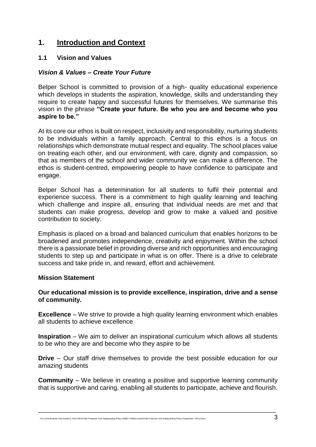#### **1. Introduction and Context**

#### **1.1 Vision and Values**

#### *Vision & Values – Create Your Future*

Belper School is committed to provision of a high- quality educational experience which develops in students the aspiration, knowledge, skills and understanding they require to create happy and successful futures for themselves. We summarise this vision in the phrase **"Create your future. Be who you are and become who you aspire to be."**

At its core our ethos is built on respect, inclusivity and responsibility, nurturing students to be individuals within a family approach. Central to this ethos is a focus on relationships which demonstrate mutual respect and equality. The school places value on treating each other, and our environment, with care, dignity and compassion, so that as members of the school and wider community we can make a difference. The ethos is student-centred, empowering people to have confidence to participate and engage.

Belper School has a determination for all students to fulfil their potential and experience success. There is a commitment to high quality learning and teaching which challenge and inspire all, ensuring that individual needs are met and that students can make progress, develop and grow to make a valued and positive contribution to society.

Emphasis is placed on a broad and balanced curriculum that enables horizons to be broadened and promotes independence, creativity and enjoyment. Within the school there is a passionate belief in providing diverse and rich opportunities and encouraging students to step up and participate in what is on offer. There is a drive to celebrate success and take pride in, and reward, effort and achievement.

#### **Mission Statement**

#### **Our educational mission is to provide excellence, inspiration, drive and a sense of community.**

**Excellence** – We strive to provide a high quality learning environment which enables all students to achieve excellence

**Inspiration** – We aim to deliver an inspirational curriculum which allows all students to be who they are and become who they aspire to be

**Drive** – Our staff drive themselves to provide the best possible education for our amazing students

**Community** – We believe in creating a positive and supportive learning community that is supportive and caring, enabling all students to participate, achieve and flourish.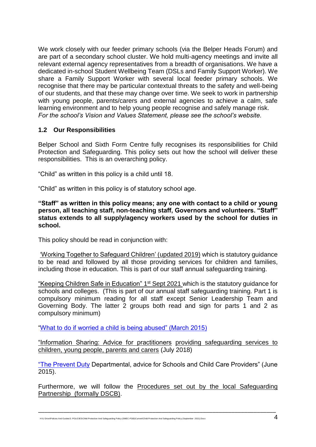We work closely with our feeder primary schools (via the Belper Heads Forum) and are part of a secondary school cluster. We hold multi-agency meetings and invite all relevant external agency representatives from a breadth of organisations. We have a dedicated in-school Student Wellbeing Team (DSLs and Family Support Worker). We share a Family Support Worker with several local feeder primary schools. We recognise that there may be particular contextual threats to the safety and well-being of our students, and that these may change over time. We seek to work in partnership with young people, parents/carers and external agencies to achieve a calm, safe learning environment and to help young people recognise and safely manage risk. *For the school's Vision and Values Statement, please see the school's website.*

#### **1.2 Our Responsibilities**

Belper School and Sixth Form Centre fully recognises its responsibilities for Child Protection and Safeguarding. This policy sets out how the school will deliver these responsibilities. This is an overarching policy.

"Child" as written in this policy is a child until 18.

"Child" as written in this policy is of statutory school age.

**"Staff" as written in this policy means; any one with contact to a child or young person, all teaching staff, non-teaching staff, Governors and volunteers. "Staff" status extends to all supply/agency workers used by the school for duties in school.** 

This policy should be read in conjunction with:

['Working Together to Safeguard Children' \(u](https://www.gov.uk/government/publications/working-together-to-safeguard-children--2)pdated 2019) which is statutory guidance to be read and followed by all those providing services for children and families, including those in education. This is part of our staff annual safeguarding training.

["Keeping Children Safe in Education"](https://www.gov.uk/government/publications/keeping-children-safe-in-education--2) 1<sup>st</sup> Sept 2021 which is the statutory guidance for schools and colleges. (This is part of our annual staff safeguarding training. Part 1 is compulsory minimum reading for all staff except Senior Leadership Team and Governing Body. The latter 2 groups both read and sign for parts 1 and 2 as compulsory minimum)

["What to do if worried a child is being abused" \(March 2015\)](https://www.gov.uk/government/publications/what-to-do-if-youre-worried-a-child-is-being-abused--2)

["Information Sharing: Advice for practitioners](https://www.gov.uk/government/publications/safeguarding-practitioners-information-sharing-advice) providing safeguarding services to children, young people, parents and carers (July 2018)

["The Prevent Duty](https://www.gov.uk/government/publications/protecting-children-from-radicalisation-the-prevent-duty) Departmental, advice for Schools and Child Care Providers" (June 2015).

Furthermore, we will follow the [Procedures set out by the local Safeguarding](http://derbyshirescbs.proceduresonline.com/)  [Partnership](http://derbyshirescbs.proceduresonline.com/) (formally DSCB).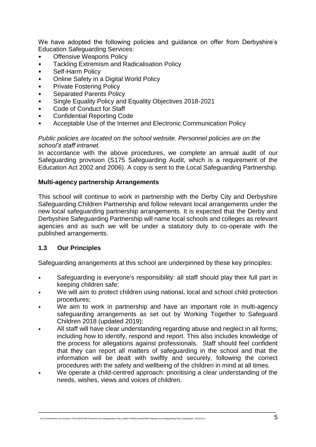We have adopted the following policies and guidance on offer from Derbyshire's Education Safeguarding Services:

- **Offensive Weapons Policy**
- Tackling Extremism and Radicalisation Policy
- Self-Harm Policy
- Online Safety in a Digital World Policy
- Private Fostering Policy
- Separated Parents Policy
- Single Equality Policy and Equality Objectives 2018-2021
- Code of Conduct for Staff
- Confidential Reporting Code
- Acceptable Use of the Internet and Electronic Communication Policy

#### *Public policies are located on the school website. Personnel policies are on the school's staff intranet.*

In accordance with the above procedures, we complete an annual audit of our Safeguarding provision (S175 Safeguarding Audit, which is a requirement of the Education Act 2002 and 2006). A copy is sent to the Local Safeguarding Partnership.

#### **Multi-agency partnership Arrangements**

This school will continue to work in partnership with the Derby City and Derbyshire Safeguarding Children Partnership and follow relevant local arrangements under the new local safeguarding partnership arrangements. It is expected that the Derby and Derbyshire Safeguarding Partnership will name local schools and colleges as relevant agencies and as such we will be under a statutory duty to co-operate with the published arrangements.

#### **1.3 Our Principles**

Safeguarding arrangements at this school are underpinned by these key principles:

- Safeguarding is everyone's responsibility: all staff should play their full part in keeping children safe;
- We will aim to protect children using national, local and school child protection procedures;
- We aim to work in partnership and have an important role in multi-agency safeguarding arrangements as set out by Working Together to Safeguard Children 2018 (updated 2019);
- All staff will have clear understanding regarding abuse and neglect in all forms; including how to identify, respond and report. This also includes knowledge of the process for allegations against professionals. Staff should feel confident that they can report all matters of safeguarding in the school and that the information will be dealt with swiftly and securely, following the correct procedures with the safety and wellbeing of the children in mind at all times.
- We operate a child-centred approach: prioritising a clear understanding of the needs, wishes, views and voices of children.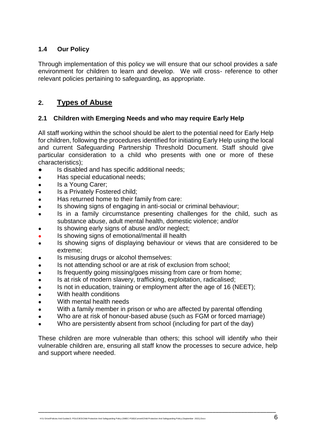#### **1.4 Our Policy**

Through implementation of this policy we will ensure that our school provides a safe environment for children to learn and develop. We will cross- reference to other relevant policies pertaining to safeguarding, as appropriate.

#### **2. Types of Abuse**

#### **2.1 Children with Emerging Needs and who may require Early Help**

All staff working within the school should be alert to the potential need for Early Help for children, following the procedures identified for initiating Early Help using the local and current Safeguarding Partnership Threshold Document. Staff should give particular consideration to a child who presents with one or more of these characteristics);

- Is disabled and has specific additional needs;
- Has special educational needs;
- Is a Young Carer:
- Is a Privately Fostered child;
- Has returned home to their family from care:
- Is showing signs of engaging in anti-social or criminal behaviour;
- Is in a family circumstance presenting challenges for the child, such as substance abuse, adult mental health, domestic violence; and/or
- Is showing early signs of abuse and/or neglect;
- Is showing signs of emotional/mental ill health
- Is showing signs of displaying behaviour or views that are considered to be extreme;
- Is misusing drugs or alcohol themselves:
- Is not attending school or are at risk of exclusion from school;
- Is frequently going missing/goes missing from care or from home:
- Is at risk of modern slavery, trafficking, exploitation, radicalised;
- Is not in education, training or employment after the age of 16 (NEET);
- With health conditions
- With mental health needs
- With a family member in prison or who are affected by parental offending
- Who are at risk of honour-based abuse (such as FGM or forced marriage)
- Who are persistently absent from school (including for part of the day)

These children are more vulnerable than others; this school will identify who their vulnerable children are, ensuring all staff know the processes to secure advice, help and support where needed.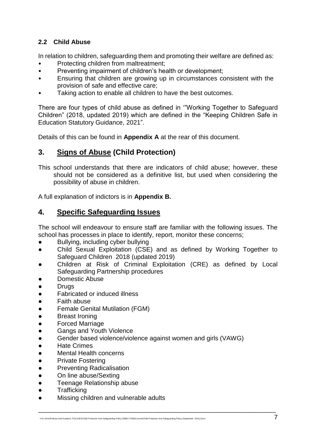#### **2.2 Child Abuse**

In relation to children, safeguarding them and promoting their welfare are defined as:

- Protecting children from maltreatment;
- Preventing impairment of children's health or development;
- Ensuring that children are growing up in circumstances consistent with the provision of safe and effective care;
- Taking action to enable all children to have the best outcomes.

There are four types of child abuse as defined in '"Working Together to Safeguard Children" (2018, updated 2019) which are defined in the "Keeping Children Safe in Education Statutory Guidance, 2021".

Details of this can be found in **Appendix A** at the rear of this document.

## **3. Signs of Abuse (Child Protection)**

This school understands that there are indicators of child abuse; however, these should not be considered as a definitive list, but used when considering the possibility of abuse in children.

A full explanation of indictors is in **Appendix B.**

#### **4. Specific Safeguarding Issues**

The school will endeavour to ensure staff are familiar with the following issues. The school has processes in place to identify, report, monitor these concerns;

- Bullying, including cyber bullying
- Child Sexual Exploitation (CSE) and as defined by Working Together to Safeguard Children 2018 (updated 2019)
- Children at Risk of Criminal Exploitation (CRE) as defined by Local Safeguarding Partnership procedures

- Domestic Abuse
- Drugs
- **Fabricated or induced illness**
- **Faith abuse**
- **Female Genital Mutilation (FGM)**
- **Breast Ironing**
- **Forced Marriage**
- **Gangs and Youth Violence**
- Gender based violence/violence against women and girls (VAWG)
- **Hate Crimes**
- **Mental Health concerns**
- **Private Fostering**
- **Preventing Radicalisation**
- On line abuse/Sexting
- Teenage Relationship abuse
- **Trafficking**
- Missing children and vulnerable adults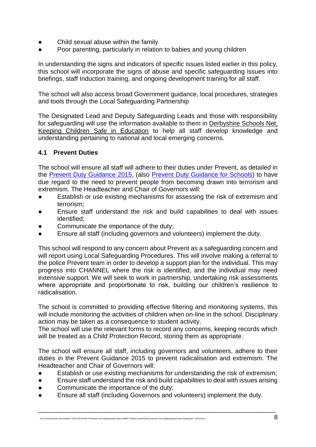- Child sexual abuse within the family
- Poor parenting, particularly in relation to babies and young children

In understanding the signs and indicators of specific issues listed earlier in this policy, this school will incorporate the signs of abuse and specific safeguarding issues into briefings, staff Induction training, and ongoing development training for all staff.

The school will also access broad Government guidance, local procedures, strategies and tools through the Local Safeguarding Partnership

The Designated Lead and Deputy Safeguarding Leads and those with responsibility for safeguarding will use the information available to them in Derbyshire [Schools Net,](https://schoolsnet.derbyshire.gov.uk/keeping-children-safe-in-education/keeping-children-safe-in-education.aspx)  [Keeping Children Safe in Education](https://schoolsnet.derbyshire.gov.uk/keeping-children-safe-in-education/keeping-children-safe-in-education.aspx) to help all staff develop knowledge and understanding pertaining to national and local emerging concerns.

#### **4.1 Prevent Duties**

The school will ensure all staff will adhere to their duties under Prevent, as detailed in the [Prevent Duty Guidance 2015,](https://www.gov.uk/government/publications/prevent-duty-guidance) (also [Prevent Duty Guidance for Schools\)](https://www.gov.uk/government/publications/protecting-children-from-radicalisation-the-prevent-duty) to have due regard to the need to prevent people from becoming drawn into terrorism and extremism. The Headteacher and Chair of Governors will:

- Establish or use existing mechanisms for assessing the risk of extremism and terrorism;
- Ensure staff understand the risk and build capabilities to deal with issues identified;
- Communicate the importance of the duty:
- Ensure all staff (including governors and volunteers) implement the duty.

This school will respond to any concern about Prevent as a safeguarding concern and will report using Local Safeguarding Procedures. This will involve making a referral to the police Prevent team in order to develop a support plan for the individual. This may progress into CHANNEL where the risk is identified, and the individual may need extensive support. We will seek to work in partnership, undertaking risk assessments where appropriate and proportionate to risk, building our children's resilience to radicalisation.

The school is committed to providing effective filtering and monitoring systems, this will include monitoring the activities of children when on-line in the school. Disciplinary action may be taken as a consequence to student activity.

The school will use the relevant forms to record any concerns, keeping records which will be treated as a Child Protection Record, storing them as appropriate.

The school will ensure all staff, including governors and volunteers, adhere to their duties in the Prevent Guidance 2015 to prevent radicalisation and extremism. The Headteacher and Chair of Governors will:

- Establish or use existing mechanisms for understanding the risk of extremism;
- Ensure staff understand the risk and build capabilities to deal with issues arising

- Communicate the importance of the duty;
- Ensure all staff (including Governors and volunteers) implement the duty.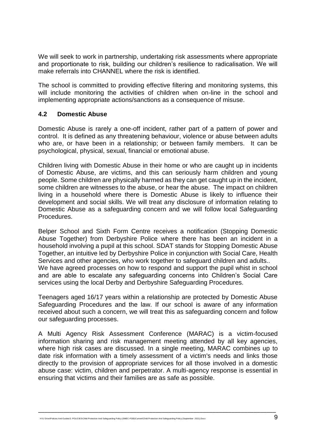We will seek to work in partnership, undertaking risk assessments where appropriate and proportionate to risk, building our children's resilience to radicalisation. We will make referrals into CHANNEL where the risk is identified.

The school is committed to providing effective filtering and monitoring systems, this will include monitoring the activities of children when on-line in the school and implementing appropriate actions/sanctions as a consequence of misuse.

#### **4.2 Domestic Abuse**

Domestic Abuse is rarely a one-off incident, rather part of a pattern of power and control. It is defined as any threatening behaviour, violence or abuse between adults who are, or have been in a relationship; or between family members. It can be psychological, physical, sexual, financial or emotional abuse.

Children living with Domestic Abuse in their home or who are caught up in incidents of Domestic Abuse, are victims, and this can seriously harm children and young people. Some children are physically harmed as they can get caught up in the incident, some children are witnesses to the abuse, or hear the abuse. The impact on children living in a household where there is Domestic Abuse is likely to influence their development and social skills. We will treat any disclosure of information relating to Domestic Abuse as a safeguarding concern and we will follow local Safeguarding Procedures.

Belper School and Sixth Form Centre receives a notification (Stopping Domestic Abuse Together) from Derbyshire Police where there has been an incident in a household involving a pupil at this school. SDAT stands for Stopping Domestic Abuse Together, an intuitive led by Derbyshire Police in conjunction with Social Care, Health Services and other agencies, who work together to safeguard children and adults.. We have agreed processes on how to respond and support the pupil whist in school and are able to escalate any safeguarding concerns into Children's Social Care services using the local Derby and Derbyshire Safeguarding Procedures.

Teenagers aged 16/17 years within a relationship are protected by Domestic Abuse Safeguarding Procedures and the law. If our school is aware of any information received about such a concern, we will treat this as safeguarding concern and follow our safeguarding processes.

A Multi Agency Risk Assessment Conference (MARAC) is a victim-focused information sharing and risk management meeting attended by all key agencies, where high risk cases are discussed. In a single meeting, MARAC combines up to date risk information with a timely assessment of a victim's needs and links those directly to the provision of appropriate services for all those involved in a domestic abuse case: victim, children and perpetrator. A multi-agency response is essential in ensuring that victims and their families are as safe as possible.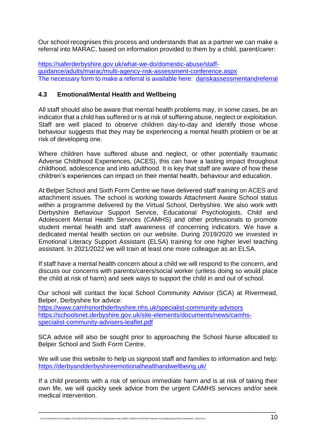Our school recognises this process and understands that as a partner we can make a referral into MARAC, based on information provided to them by a child, parent/carer:

[https://saferderbyshire.gov.uk/what-we-do/domestic-abuse/staff](https://saferderbyshire.gov.uk/what-we-do/domestic-abuse/staff-guidance/adults/marac/multi-agency-risk-assessment-conference.aspx)[guidance/adults/marac/multi-agency-risk-assessment-conference.aspx](https://saferderbyshire.gov.uk/what-we-do/domestic-abuse/staff-guidance/adults/marac/multi-agency-risk-assessment-conference.aspx) The necessary form to make a referral is available here: [dariskassessmentandreferral](https://www.saferderbyshire.gov.uk/dariskassessmentandreferral)

#### **4.3 Emotional/Mental Health and Wellbeing**

All staff should also be aware that mental health problems may, in some cases, be an indicator that a child has suffered or is at risk of suffering abuse, neglect or exploitation. Staff are well placed to observe children day-to-day and identify those whose behaviour suggests that they may be experiencing a mental health problem or be at risk of developing one.

Where children have suffered abuse and neglect, or other potentially traumatic Adverse Childhood Experiences, (ACES), this can have a lasting impact throughout childhood, adolescence and into adulthood. It is key that staff are aware of how these children's experiences can impact on their mental health, behaviour and education.

At Belper School and Sixth Form Centre we have delivered staff training on ACES and attachment issues. The school is working towards Attachment Aware School status within a programme delivered by the Virtual School, Derbyshire. We also work with Derbyshire Behaviour Support Service, Educational Psychologists, Child and Adolescent Mental Health Services (CAMHS) and other professionals to promote student mental health and staff awareness of concerning indicators. We have a dedicated mental health section on our website. During 2019/2020 we invested in Emotional Literacy Support Assistant (ELSA) training for one higher level teaching assistant. In 2021/2022 we will train at least one more colleague as an ELSA.

If staff have a mental health concern about a child we will respond to the concern, and discuss our concerns with parents/carers/social worker (unless doing so would place the child at risk of harm) and seek ways to support the child in and out of school.

Our school will contact the local School Community Advisor (SCA) at Rivermead, Belper, Derbyshire for advice:

<https://www.camhsnorthderbyshire.nhs.uk/specialist-community-advisors> [https://schoolsnet.derbyshire.gov.uk/site-elements/documents/news/camhs](https://schoolsnet.derbyshire.gov.uk/site-elements/documents/news/camhs-specialist-community-advisers-leaflet.pdf)[specialist-community-advisers-leaflet.pdf](https://schoolsnet.derbyshire.gov.uk/site-elements/documents/news/camhs-specialist-community-advisers-leaflet.pdf)

SCA advice will also be sought prior to approaching the School Nurse allocated to Belper School and Sixth Form Centre.

We will use this website to help us signpost staff and families to information and help: <https://derbyandderbyshireemotionalhealthandwellbeing.uk/>

If a child presents with a risk of serious immediate harm and is at risk of taking their own life, we will quickly seek advice from the urgent CAMHS services and/or seek medical intervention.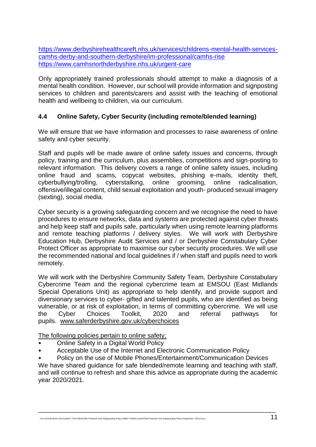[https://www.derbyshirehealthcareft.nhs.uk/services/childrens-mental-health-services](https://www.derbyshirehealthcareft.nhs.uk/services/childrens-mental-health-services-camhs-derby-and-southern-derbyshire/im-professional/camhs-rise)[camhs-derby-and-southern-derbyshire/im-professional/camhs-rise](https://www.derbyshirehealthcareft.nhs.uk/services/childrens-mental-health-services-camhs-derby-and-southern-derbyshire/im-professional/camhs-rise) <https://www.camhsnorthderbyshire.nhs.uk/urgent-care>

Only appropriately trained professionals should attempt to make a diagnosis of a mental health condition. However, our school will provide information and signposting services to children and parents/carers and assist with the teaching of emotional health and wellbeing to children, via our curriculum.

#### **4.4 Online Safety, Cyber Security (including remote/blended learning)**

We will ensure that we have information and processes to raise awareness of online safety and cyber security.

Staff and pupils will be made aware of online safety issues and concerns, through policy, training and the curriculum, plus assemblies, competitions and sign-posting to relevant information. This delivery covers a range of online safety issues, including online fraud and scams, copycat websites, phishing e-mails, identity theft, cyberbullying/trolling, cyberstalking, online grooming, online radicalisation, offensive/illegal content, child sexual exploitation and youth- produced sexual imagery (sexting), social media.

Cyber security is a growing safeguarding concern and we recognise the need to have procedures to ensure networks, data and systems are protected against cyber threats and help keep staff and pupils safe, particularly when using remote learning platforms and remote teaching platforms / delivery styles. We will work with Derbyshire Education Hub, Derbyshire Audit Services and / or Derbyshire Constabulary Cyber Protect Officer as appropriate to maximise our cyber security procedures. We will use the recommended national and local guidelines if / when staff and pupils need to work remotely.

We will work with the Derbyshire Community Safety Team, Derbyshire Constabulary Cybercrime Team and the regional cybercrime team at EMSOU (East Midlands Special Operations Unit) as appropriate to help identify, and provide support and diversionary services to cyber- gifted and talented pupils, who are identified as being vulnerable, or at risk of exploitation, in terms of committing cybercrime. We will use the Cyber Choices Toolkit, 2020 and referral pathways for pupils. [www.saferderbyshire.gov.uk/cyberchoices](http://www.saferderbyshire.gov.uk/cyberchoices)

The following policies pertain to online safety;

- Online Safety in a Digital World Policy
- Acceptable Use of the Internet and Electronic Communication Policy

• Policy on the use of Mobile Phones/Entertainment/Communication Devices We have shared guidance for safe blended/remote learning and teaching with staff, and will continue to refresh and share this advice as appropriate during the academic year 2020/2021.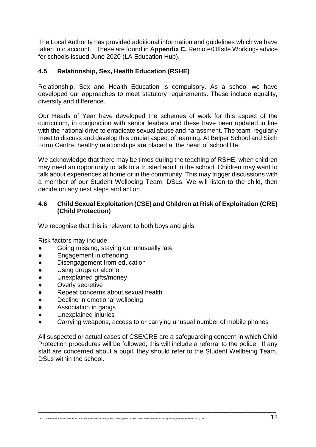The Local Authority has provided additional information and guidelines which we have taken into account. These are found in A**ppendix C,** Remote/Offsite Working- advice for schools issued June 2020 (LA Education Hub).

#### **4.5 Relationship, Sex, Health Education (RSHE)**

Relationship, Sex and Health Education is compulsory. As a school we have developed our approaches to meet statutory requirements. These include equality, diversity and difference.

Our Heads of Year have developed the schemes of work for this aspect of the curriculum, in conjunction with senior leaders and these have been updated in line with the national drive to erradicate sexual abuse and harassment. The team regularly meet to discuss and develop this crucial aspect of learning. At Belper School and Sixth Form Centre, healthy relationships are placed at the heart of school life.

We acknowledge that there may be times during the teaching of RSHE, when children may need an opportunity to talk to a trusted adult in the school. Children may want to talk about experiences at home or in the community. This may trigger discussions with a member of our Student Wellbeing Team, DSLs. We will listen to the child, then decide on any next steps and action.

#### **4.6 Child Sexual Exploitation (CSE) and Children at Risk of Exploitation (CRE) (Child Protection)**

We recognise that this is relevant to both boys and girls.

Risk factors may include;

- Going missing, staying out unusually late
- Engagement in offending
- Disengagement from education
- Using drugs or alcohol
- Unexplained gifts/money
- Overly secretive
- Repeat concerns about sexual health
- Decline in emotional wellbeing
- Association in gangs
- Unexplained injuries
- Carrying weapons, access to or carrying unusual number of mobile phones

All suspected or actual cases of CSE/CRE are a safeguarding concern in which Child Protection procedures will be followed; this will include a referral to the police. If any staff are concerned about a pupil, they should refer to the Student Wellbeing Team, DSLs within the school.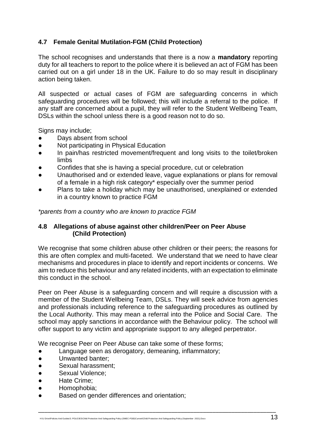#### **4.7 Female Genital Mutilation-FGM (Child Protection)**

The school recognises and understands that there is a now a **mandatory** reporting duty for all teachers to report to the police where it is believed an act of FGM has been carried out on a girl under 18 in the UK. Failure to do so may result in disciplinary action being taken.

All suspected or actual cases of FGM are safeguarding concerns in which safeguarding procedures will be followed; this will include a referral to the police. If any staff are concerned about a pupil, they will refer to the Student Wellbeing Team, DSLs within the school unless there is a good reason not to do so.

Signs may include;

- Days absent from school
- Not participating in Physical Education
- In pain/has restricted movement/frequent and long visits to the toilet/broken limbs
- Confides that she is having a special procedure, cut or celebration
- Unauthorised and or extended leave, vague explanations or plans for removal of a female in a high risk category\* especially over the summer period
- Plans to take a holiday which may be unauthorised, unexplained or extended in a country known to practice FGM

*\*parents from a country who are known to practice FGM*

#### **4.8 Allegations of abuse against other children/Peer on Peer Abuse (Child Protection)**

We recognise that some children abuse other children or their peers; the reasons for this are often complex and multi-faceted. We understand that we need to have clear mechanisms and procedures in place to identify and report incidents or concerns. We aim to reduce this behaviour and any related incidents, with an expectation to eliminate this conduct in the school.

Peer on Peer Abuse is a safeguarding concern and will require a discussion with a member of the Student Wellbeing Team, DSLs. They will seek advice from agencies and professionals including reference to the safeguarding procedures as outlined by the Local Authority. This may mean a referral into the Police and Social Care. The school may apply sanctions in accordance with the Behaviour policy. The school will offer support to any victim and appropriate support to any alleged perpetrator.

\_\_\_\_\_\_\_\_\_\_\_\_\_\_\_\_\_\_\_\_\_\_\_\_\_\_\_\_\_\_\_\_\_\_\_\_\_\_\_\_\_\_\_\_\_\_\_\_\_\_\_\_\_\_\_\_\_\_\_\_\_\_\_\_\_\_\_\_\_\_\_\_\_\_\_

We recognise Peer on Peer Abuse can take some of these forms;

- Language seen as derogatory, demeaning, inflammatory;
- Unwanted banter;
- Sexual harassment:
- Sexual Violence:
- Hate Crime;
- Homophobia:
- Based on gender differences and orientation;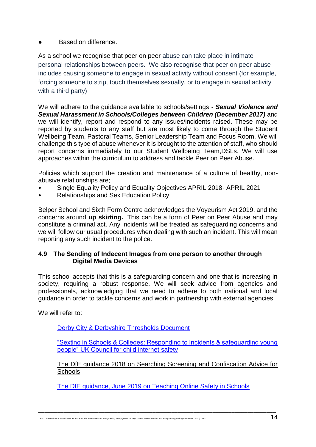**Based on difference.** 

As a school we recognise that peer on peer abuse can take place in intimate personal relationships between peers. We also recognise that peer on peer abuse includes causing someone to engage in sexual activity without consent (for example, forcing someone to strip, touch themselves sexually, or to engage in sexual activity with a third party)

We will adhere to the guidance available to schools/settings - *Sexual Violence and*  **Sexual Harassment in Schools/Colleges between Children (December 2017)** and we will identify, report and respond to any issues/incidents raised. These may be reported by students to any staff but are most likely to come through the Student Wellbeing Team, Pastoral Teams, Senior Leadership Team and Focus Room. We will challenge this type of abuse whenever it is brought to the attention of staff, who should report concerns immediately to our Student Wellbeing Team,DSLs. We will use approaches within the curriculum to address and tackle Peer on Peer Abuse.

Policies which support the creation and maintenance of a culture of healthy, nonabusive relationships are;

- Single Equality Policy and Equality Objectives APRIL 2018- APRIL 2021
- Relationships and Sex Education Policy

Belper School and Sixth Form Centre acknowledges the Voyeurism Act 2019, and the concerns around **up skirting.** This can be a form of Peer on Peer Abuse and may constitute a criminal act. Any incidents will be treated as safeguarding concerns and we will follow our usual procedures when dealing with such an incident. This will mean reporting any such incident to the police.

#### **4.9 The Sending of Indecent Images from one person to another through Digital Media Devices**

This school accepts that this is a safeguarding concern and one that is increasing in society, requiring a robust response. We will seek advice from agencies and professionals, acknowledging that we need to adhere to both national and local guidance in order to tackle concerns and work in partnership with external agencies.

We will refer to:

[Derby City & Derbyshire Thresholds Document](http://www.proceduresonline.com/derbyshire/scbs/user_controlled_lcms_area/uploaded_files/DSCB-Thresholds.pdf)

["Sexting in Schools & Colleges: Responding to Incidents & safeguarding young](https://www.gov.uk/government/uploads/system/uploads/attachment_data/file/609874/6_2939_SP_NCA_Sexting_In_Schools_FINAL_Update_Jan17.pdf)  [people" UK Council for child internet safety](https://www.gov.uk/government/uploads/system/uploads/attachment_data/file/609874/6_2939_SP_NCA_Sexting_In_Schools_FINAL_Update_Jan17.pdf) 

[The DfE guidance 2018 on Searching Screening and Confiscation Advice for](https://www.gov.uk/government/publications/searching-screening-and-confiscation)  **[Schools](https://www.gov.uk/government/publications/searching-screening-and-confiscation)** 

[The DfE guidance, June 2019 on Teaching Online Safety in Schools](https://www.gov.uk/government/publications/teaching-online-safety-in-schools)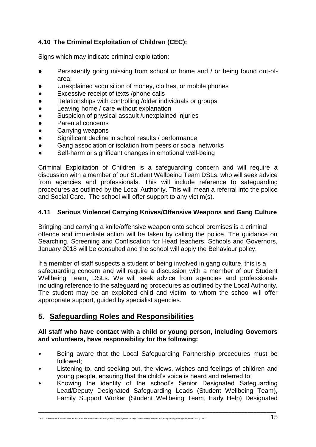#### **4.10 The Criminal Exploitation of Children (CEC):**

Signs which may indicate criminal exploitation:

- Persistently going missing from school or home and / or being found out-ofarea;
- Unexplained acquisition of money, clothes, or mobile phones
- Excessive receipt of texts /phone calls
- Relationships with controlling /older individuals or groups
- Leaving home / care without explanation
- Suspicion of physical assault /unexplained injuries
- Parental concerns
- Carrying weapons
- Significant decline in school results / performance
- Gang association or isolation from peers or social networks
- Self-harm or significant changes in emotional well-being

Criminal Exploitation of Children is a safeguarding concern and will require a discussion with a member of our Student Wellbeing Team DSLs, who will seek advice from agencies and professionals. This will include reference to safeguarding procedures as outlined by the Local Authority. This will mean a referral into the police and Social Care. The school will offer support to any victim(s).

#### **4.11 Serious Violence/ Carrying Knives/Offensive Weapons and Gang Culture**

Bringing and carrying a knife/offensive weapon onto school premises is a criminal offence and immediate action will be taken by calling the police. The guidance on Searching, Screening and Confiscation for Head teachers, Schools and Governors, January 2018 will be consulted and the school will apply the Behaviour policy.

If a member of staff suspects a student of being involved in gang culture, this is a safeguarding concern and will require a discussion with a member of our Student Wellbeing Team, DSLs. We will seek advice from agencies and professionals including reference to the safeguarding procedures as outlined by the Local Authority. The student may be an exploited child and victim, to whom the school will offer appropriate support, guided by specialist agencies.

#### **5. Safeguarding Roles and Responsibilities**

#### **All staff who have contact with a child or young person, including Governors and volunteers, have responsibility for the following:**

- Being aware that the Local Safeguarding Partnership procedures must be followed;
- Listening to, and seeking out, the views, wishes and feelings of children and young people, ensuring that the child's voice is heard and referred to;
- Knowing the identity of the school's Senior Designated Safeguarding Lead/Deputy Designated Safeguarding Leads (Student Wellbeing Team), Family Support Worker (Student Wellbeing Team, Early Help) Designated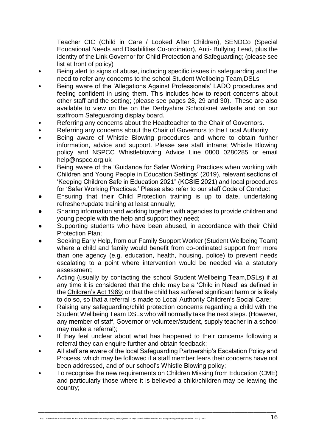Teacher CIC (Child in Care / Looked After Children), SENDCo (Special Educational Needs and Disabilities Co-ordinator), Anti- Bullying Lead, plus the identity of the Link Governor for Child Protection and Safeguarding; (please see list at front of policy)

- Being alert to signs of abuse, including specific issues in safeguarding and the need to refer any concerns to the school Student Wellbeing Team,DSLs
- Being aware of the 'Allegations Against Professionals' LADO procedures and feeling confident in using them. This includes how to report concerns about other staff and the setting; (please see pages 28, 29 and 30). These are also available to view on the on the Derbyshire Schoolsnet website and on our staffroom Safeguarding display board.
- Referring any concerns about the Headteacher to the Chair of Governors.
- Referring any concerns about the Chair of Governors to the Local Authority
- Being aware of Whistle Blowing procedures and where to obtain further information, advice and support. Please see staff intranet Whistle Blowing policy and NSPCC Whistleblowing Advice Line 0800 0280285 or email help@nspcc.org.uk
- Being aware of the 'Guidance for Safer Working Practices when working with Children and Young People in Education Settings' (2019), relevant sections of 'Keeping Children Safe in Education 2021" (KCSIE 2021) and local procedures for 'Safer Working Practices.' Please also refer to our staff Code of Conduct.
- Ensuring that their Child Protection training is up to date, undertaking refresher/update training at least annually;
- Sharing information and working together with agencies to provide children and young people with the help and support they need;
- Supporting students who have been abused, in accordance with their Child Protection Plan;
- Seeking Early Help, from our Family Support Worker (Student Wellbeing Team) where a child and family would benefit from co-ordinated support from more than one agency (e.g. education, health, housing, police) to prevent needs escalating to a point where intervention would be needed via a statutory assessment;
- Acting (usually by contacting the school Student Wellbeing Team,DSLs) if at any time it is considered that the child may be a 'Child in Need' as defined in the [Children's Act 1989;](http://www.legislation.gov.uk/ukpga/1989/41/contents) or that the child has suffered significant harm or is likely to do so, so that a referral is made to Local Authority Children's Social Care;
- Raising any safeguarding/child protection concerns regarding a child with the Student Wellbeing Team DSLs who will normally take the next steps. (However, any member of staff, Governor or volunteer/student, supply teacher in a school may make a referral);
- If they feel unclear about what has happened to their concerns following a referral they can enquire further and obtain feedback;
- All staff are aware of the local Safeguarding Partnership's Escalation Policy and Process, which may be followed if a staff member fears their concerns have not been addressed, and of our school's Whistle Blowing policy;
- To recognise the new requirements on Children Missing from Education (CME) and particularly those where it is believed a child/children may be leaving the country;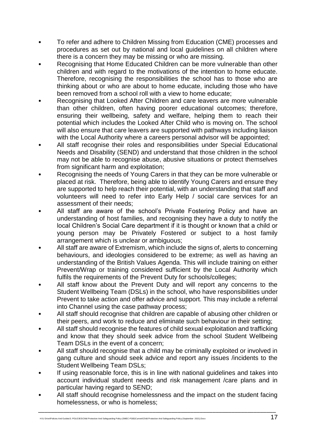- To refer and adhere to Children Missing from Education (CME) processes and procedures as set out by national and local guidelines on all children where there is a concern they may be missing or who are missing.
- Recognising that Home Educated Children can be more vulnerable than other children and with regard to the motivations of the intention to home educate. Therefore, recognising the responsibilities the school has to those who are thinking about or who are about to home educate, including those who have been removed from a school roll with a view to home educate;
- Recognising that Looked After Children and care leavers are more vulnerable than other children, often having poorer educational outcomes; therefore, ensuring their wellbeing, safety and welfare, helping them to reach their potential which includes the Looked After Child who is moving on. The school will also ensure that care leavers are supported with pathways including liaison with the Local Authority where a careers personal advisor will be appointed;
- All staff recognise their roles and responsibilities under Special Educational Needs and Disability (SEND) and understand that those children in the school may not be able to recognise abuse, abusive situations or protect themselves from significant harm and exploitation;
- Recognising the needs of Young Carers in that they can be more vulnerable or placed at risk. Therefore, being able to identify Young Carers and ensure they are supported to help reach their potential, with an understanding that staff and volunteers will need to refer into Early Help / social care services for an assessment of their needs;
- All staff are aware of the school's Private Fostering Policy and have an understanding of host families, and recognising they have a duty to notify the local Children's Social Care department if it is thought or known that a child or young person may be Privately Fostered or subject to a host family arrangement which is unclear or ambiguous;
- All staff are aware of Extremism, which include the signs of, alerts to concerning behaviours, and ideologies considered to be extreme; as well as having an understanding of the British Values Agenda. This will include training on either Prevent/Wrap or training considered sufficient by the Local Authority which fulfils the requirements of the Prevent Duty for schools/colleges;
- All staff know about the Prevent Duty and will report any concerns to the Student Wellbeing Team (DSLs) in the school, who have responsibilities under Prevent to take action and offer advice and support. This may include a referral into Channel using the case pathway process;
- All staff should recognise that children are capable of abusing other children or their peers, and work to reduce and eliminate such behaviour in their setting;
- All staff should recognise the features of child sexual exploitation and trafficking and know that they should seek advice from the school Student Wellbeing Team DSLs in the event of a concern;
- All staff should recognise that a child may be criminally exploited or involved in gang culture and should seek advice and report any issues /incidents to the Student Wellbeing Team DSLs;
- If using reasonable force, this is in line with national guidelines and takes into account individual student needs and risk management /care plans and in particular having regard to SEND;
- All staff should recognise homelessness and the impact on the student facing homelessness, or who is homeless;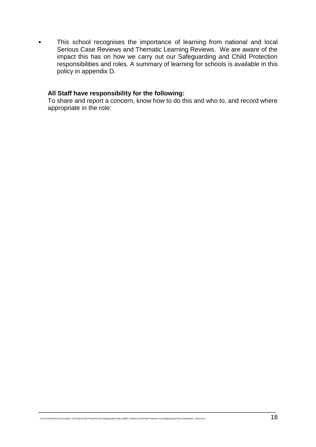• This school recognises the importance of learning from national and local Serious Case Reviews and Thematic Learning Reviews. We are aware of the impact this has on how we carry out our Safeguarding and Child Protection responsibilities and roles. A summary of learning for schools is available in this policy in appendix D.

#### **All Staff have responsibility for the following:**

To share and report a concern, know how to do this and who to, and record where appropriate in the role: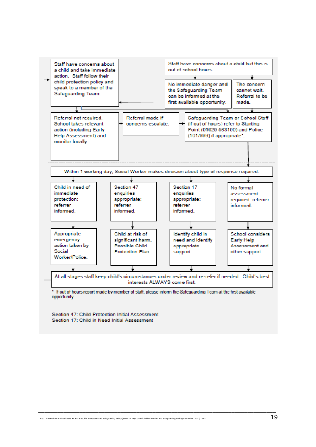

Section 47: Child Protection Initial Assessment Section 17: Child in Need Initial Assessment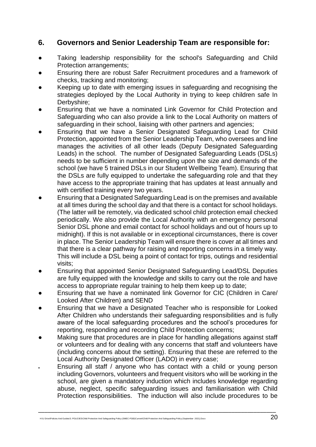#### **6. Governors and Senior Leadership Team are responsible for:**

- Taking leadership responsibility for the school's Safeguarding and Child Protection arrangements;
- Ensuring there are robust Safer Recruitment procedures and a framework of checks, tracking and monitoring;
- Keeping up to date with emerging issues in safeguarding and recognising the strategies deployed by the Local Authority in trying to keep children safe In Derbyshire;
- Ensuring that we have a nominated Link Governor for Child Protection and Safeguarding who can also provide a link to the Local Authority on matters of safeguarding in their school, liaising with other partners and agencies;
- Ensuring that we have a Senior Designated Safeguarding Lead for Child Protection, appointed from the Senior Leadership Team, who oversees and line manages the activities of all other leads (Deputy Designated Safeguarding Leads) in the school. The number of Designated Safeguarding Leads (DSLs) needs to be sufficient in number depending upon the size and demands of the school (we have 5 trained DSLs in our Student Wellbeing Team). Ensuring that the DSLs are fully equipped to undertake the safeguarding role and that they have access to the appropriate training that has updates at least annually and with certified training every two years.
- Ensuring that a Designated Safeguarding Lead is on the premises and available at all times during the school day and that there is a contact for school holidays. (The latter will be remotely, via dedicated school child protection email checked periodically. We also provide the Local Authority with an emergency personal Senior DSL phone and email contact for school holidays and out of hours up to midnight). If this is not available or in exceptional circumstances, there is cover in place. The Senior Leadership Team will ensure there is cover at all times and that there is a clear pathway for raising and reporting concerns in a timely way. This will include a DSL being a point of contact for trips, outings and residential visits;
- Ensuring that appointed Senior Designated Safeguarding Lead/DSL Deputies are fully equipped with the knowledge and skills to carry out the role and have access to appropriate regular training to help them keep up to date;
- Ensuring that we have a nominated link Governor for CIC (Children in Care/ Looked After Children) and SEND
- Ensuring that we have a Designated Teacher who is responsible for Looked After Children who understands their safeguarding responsibilities and is fully aware of the local safeguarding procedures and the school's procedures for reporting, responding and recording Child Protection concerns;
- Making sure that procedures are in place for handling allegations against staff or volunteers and for dealing with any concerns that staff and volunteers have (including concerns about the setting). Ensuring that these are referred to the Local Authority Designated Officer (LADO) in every case;
- Ensuring all staff / anyone who has contact with a child or young person including Governors, volunteers and frequent visitors who will be working in the school, are given a mandatory induction which includes knowledge regarding abuse, neglect, specific safeguarding issues and familiarisation with Child Protection responsibilities. The induction will also include procedures to be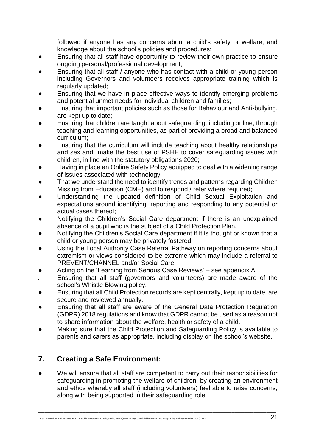followed if anyone has any concerns about a child's safety or welfare, and knowledge about the school's policies and procedures;

- Ensuring that all staff have opportunity to review their own practice to ensure ongoing personal/professional development;
- Ensuring that all staff / anyone who has contact with a child or young person including Governors and volunteers receives appropriate training which is regularly updated;
- Ensuring that we have in place effective ways to identify emerging problems and potential unmet needs for individual children and families;
- Ensuring that important policies such as those for Behaviour and Anti-bullying, are kept up to date;
- Ensuring that children are taught about safeguarding, including online, through teaching and learning opportunities, as part of providing a broad and balanced curriculum;
- Ensuring that the curriculum will include teaching about healthy relationships and sex and make the best use of PSHE to cover safeguarding issues with children, in line with the statutory obligations 2020;
- Having in place an Online Safety Policy equipped to deal with a widening range of issues associated with technology;
- That we understand the need to identify trends and patterns regarding Children Missing from Education (CME) and to respond / refer where required;
- Understanding the updated definition of Child Sexual Exploitation and expectations around identifying, reporting and responding to any potential or actual cases thereof;
- Notifying the Children's Social Care department if there is an unexplained absence of a pupil who is the subject of a Child Protection Plan.
- Notifying the Children's Social Care department if it is thought or known that a child or young person may be privately fostered.
- Using the Local Authority Case Referral Pathway on reporting concerns about extremism or views considered to be extreme which may include a referral to PREVENT/CHANNEL and/or Social Care.
- Acting on the 'Learning from Serious Case Reviews' see appendix  $A$ ;
- Ensuring that all staff (governors and volunteers) are made aware of the school's Whistle Blowing policy.
- Ensuring that all Child Protection records are kept centrally, kept up to date, are secure and reviewed annually.
- Ensuring that all staff are aware of the General Data Protection Regulation (GDPR) 2018 regulations and know that GDPR cannot be used as a reason not to share information about the welfare, health or safety of a child.
- Making sure that the Child Protection and Safeguarding Policy is available to parents and carers as appropriate, including display on the school's website.

#### **7. Creating a Safe Environment:**

We will ensure that all staff are competent to carry out their responsibilities for safeguarding in promoting the welfare of children, by creating an environment and ethos whereby all staff (including volunteers) feel able to raise concerns, along with being supported in their safeguarding role.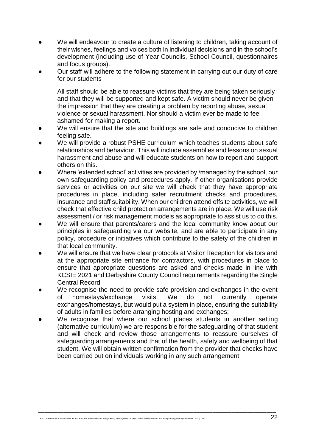- We will endeavour to create a culture of listening to children, taking account of their wishes, feelings and voices both in individual decisions and in the school's development (including use of Year Councils, School Council, questionnaires and focus groups).
- Our staff will adhere to the following statement in carrying out our duty of care for our students

All staff should be able to reassure victims that they are being taken seriously and that they will be supported and kept safe. A victim should never be given the impression that they are creating a problem by reporting abuse, sexual violence or sexual harassment. Nor should a victim ever be made to feel ashamed for making a report.

- We will ensure that the site and buildings are safe and conducive to children feeling safe.
- We will provide a robust PSHE curriculum which teaches students about safe relationships and behaviour. This will include assemblies and lessons on sexual harassment and abuse and will educate students on how to report and support others on this.
- Where 'extended school' activities are provided by /managed by the school, our own safeguarding policy and procedures apply. If other organisations provide services or activities on our site we will check that they have appropriate procedures in place, including safer recruitment checks and procedures, insurance and staff suitability. When our children attend offsite activities, we will check that effective child protection arrangements are in place. We will use risk assessment / or risk management models as appropriate to assist us to do this.
- We will ensure that parents/carers and the local community know about our principles in safeguarding via our website, and are able to participate in any policy, procedure or initiatives which contribute to the safety of the children in that local community.
- We will ensure that we have clear protocols at Visitor Reception for visitors and at the appropriate site entrance for contractors, with procedures in place to ensure that appropriate questions are asked and checks made in line with KCSIE 2021 and Derbyshire County Council requirements regarding the Single Central Record
- We recognise the need to provide safe provision and exchanges in the event of homestays/exchange visits. We do not currently operate exchanges/homestays, but would put a system in place, ensuring the suitability of adults in families before arranging hosting and exchanges;
- We recognise that where our school places students in another setting (alternative curriculum) we are responsible for the safeguarding of that student and will check and review those arrangements to reassure ourselves of safeguarding arrangements and that of the health, safety and wellbeing of that student. We will obtain written confirmation from the provider that checks have been carried out on individuals working in any such arrangement;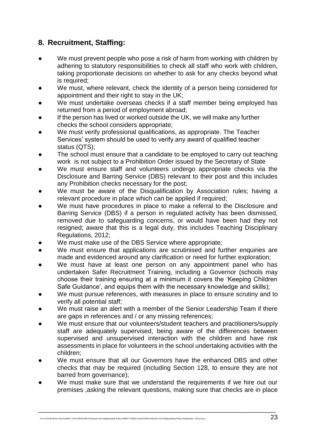## **8. Recruitment, Staffing:**

- We must prevent people who pose a risk of harm from working with children by adhering to statutory responsibilities to check all staff who work with children, taking proportionate decisions on whether to ask for any checks beyond what is required;
- We must, where relevant, check the identity of a person being considered for appointment and their right to stay in the UK;
- We must undertake overseas checks if a staff member being employed has returned from a period of employment abroad;
- If the person has lived or worked outside the UK, we will make any further checks the school considers appropriate;
- We must verify professional qualifications, as appropriate. The Teacher Services' system should be used to verify any award of qualified teacher status (QTS);
- The school must ensure that a candidate to be employed to carry out teaching work is not subject to a Prohibition Order issued by the Secretary of State
- We must ensure staff and volunteers undergo appropriate checks via the Disclosure and Barring Service (DBS) relevant to their post and this includes any Prohibition checks necessary for the post;
- We must be aware of the Disqualification by Association rules; having a relevant procedure in place which can be applied if required;
- We must have procedures in place to make a referral to the Disclosure and Barring Service (DBS) if a person in regulated activity has been dismissed, removed due to safeguarding concerns, or would have been had they not resigned; aware that this is a legal duty, this includes Teaching Disciplinary Regulations, 2012;
- We must make use of the DBS Service where appropriate;
- We must ensure that applications are scrutinised and further enquiries are made and evidenced around any clarification or need for further exploration;
- We must have at least one person on any appointment panel who has undertaken Safer Recruitment Training, including a Governor (schools may choose their training ensuring at a minimum it covers the 'Keeping Children Safe Guidance', and equips them with the necessary knowledge and skills);
- We must pursue references, with measures in place to ensure scrutiny and to verify all potential staff;
- We must raise an alert with a member of the Senior Leadership Team if there are gaps in references and / or any missing references;
- We must ensure that our volunteers/student teachers and practitioners/supply staff are adequately supervised, being aware of the differences between supervised and unsupervised interaction with the children and have risk assessments in place for volunteers in the school undertaking activities with the children;
- We must ensure that all our Governors have the enhanced DBS and other checks that may be required (including Section 128, to ensure they are not barred from governance);
- We must make sure that we understand the requirements if we hire out our premises ,asking the relevant questions, making sure that checks are in place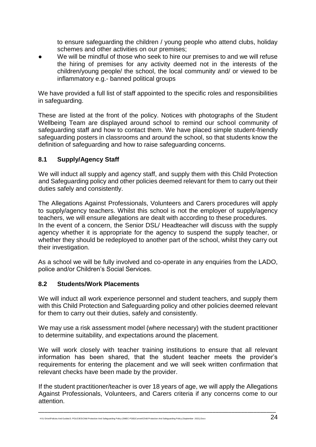to ensure safeguarding the children / young people who attend clubs, holiday schemes and other activities on our premises;

We will be mindful of those who seek to hire our premises to and we will refuse the hiring of premises for any activity deemed not in the interests of the children/young people/ the school, the local community and/ or viewed to be inflammatory e.g.- banned political groups

We have provided a full list of staff appointed to the specific roles and responsibilities in safeguarding.

These are listed at the front of the policy. Notices with photographs of the Student Wellbeing Team are displayed around school to remind our school community of safeguarding staff and how to contact them. We have placed simple student-friendly safeguarding posters in classrooms and around the school, so that students know the definition of safeguarding and how to raise safeguarding concerns.

#### **8.1 Supply/Agency Staff**

We will induct all supply and agency staff, and supply them with this Child Protection and Safeguarding policy and other policies deemed relevant for them to carry out their duties safely and consistently.

The Allegations Against Professionals, Volunteers and Carers procedures will apply to supply/agency teachers. Whilst this school is not the employer of supply/agency teachers, we will ensure allegations are dealt with according to these procedures. In the event of a concern, the Senior DSL/ Headteacher will discuss with the supply agency whether it is appropriate for the agency to suspend the supply teacher, or whether they should be redeployed to another part of the school, whilst they carry out their investigation.

As a school we will be fully involved and co-operate in any enquiries from the LADO, police and/or Children's Social Services.

#### **8.2 Students/Work Placements**

We will induct all work experience personnel and student teachers, and supply them with this Child Protection and Safeguarding policy and other policies deemed relevant for them to carry out their duties, safely and consistently.

We may use a risk assessment model (where necessary) with the student practitioner to determine suitability, and expectations around the placement.

We will work closely with teacher training institutions to ensure that all relevant information has been shared, that the student teacher meets the provider's requirements for entering the placement and we will seek written confirmation that relevant checks have been made by the provider.

If the student practitioner/teacher is over 18 years of age, we will apply the Allegations Against Professionals, Volunteers, and Carers criteria if any concerns come to our attention.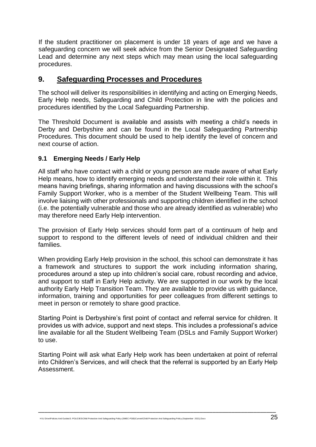If the student practitioner on placement is under 18 years of age and we have a safeguarding concern we will seek advice from the Senior Designated Safeguarding Lead and determine any next steps which may mean using the local safeguarding procedures.

#### **9. Safeguarding Processes and Procedures**

The school will deliver its responsibilities in identifying and acting on Emerging Needs, Early Help needs, Safeguarding and Child Protection in line with the policies and procedures identified by the Local Safeguarding Partnership.

The Threshold Document is available and assists with meeting a child's needs in Derby and Derbyshire and can be found in the Local Safeguarding Partnership Procedures. This document should be used to help identify the level of concern and next course of action.

#### **9.1 Emerging Needs / Early Help**

All staff who have contact with a child or young person are made aware of what Early Help means, how to identify emerging needs and understand their role within it. This means having briefings, sharing information and having discussions with the school's Family Support Worker, who is a member of the Student Wellbeing Team. This will involve liaising with other professionals and supporting children identified in the school (i.e. the potentially vulnerable and those who are already identified as vulnerable) who may therefore need Early Help intervention.

The provision of Early Help services should form part of a continuum of help and support to respond to the different levels of need of individual children and their families.

When providing Early Help provision in the school, this school can demonstrate it has a framework and structures to support the work including information sharing, procedures around a step up into children's social care, robust recording and advice, and support to staff in Early Help activity. We are supported in our work by the local authority Early Help Transition Team. They are available to provide us with guidance, information, training and opportunities for peer colleagues from different settings to meet in person or remotely to share good practice.

Starting Point is Derbyshire's first point of contact and referral service for children. It provides us with advice, support and next steps. This includes a professional's advice line available for all the Student Wellbeing Team (DSLs and Family Support Worker) to use.

Starting Point will ask what Early Help work has been undertaken at point of referral into Children's Services, and will check that the referral is supported by an Early Help Assessment.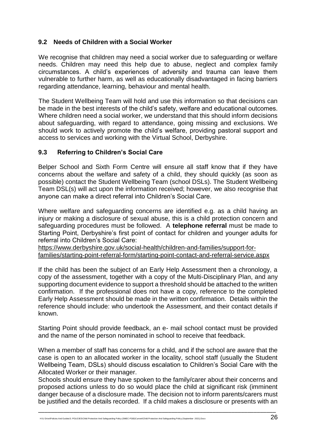#### **9.2 Needs of Children with a Social Worker**

We recognise that children may need a social worker due to safeguarding or welfare needs. Children may need this help due to abuse, neglect and complex family circumstances. A child's experiences of adversity and trauma can leave them vulnerable to further harm, as well as educationally disadvantaged in facing barriers regarding attendance, learning, behaviour and mental health.

The Student Wellbeing Team will hold and use this information so that decisions can be made in the best interests of the child's safety, welfare and educational outcomes. Where children need a social worker, we understand that this should inform decisions about safeguarding, with regard to attendance, going missing and exclusions. We should work to actively promote the child's welfare, providing pastoral support and access to services and working with the Virtual School, Derbyshire.

#### **9.3 Referring to Children's Social Care**

Belper School and Sixth Form Centre will ensure all staff know that if they have concerns about the welfare and safety of a child, they should quickly (as soon as possible) contact the Student Wellbeing Team (school DSLs). The Student Wellbeing Team DSL(s) will act upon the information received; however, we also recognise that anyone can make a direct referral into Children's Social Care.

Where welfare and safeguarding concerns are identified e.g. as a child having an injury or making a disclosure of sexual abuse, this is a child protection concern and safeguarding procedures must be followed. A **telephone referral** must be made to Starting Point, Derbyshire's first point of contact for children and younger adults for referral into Children's Social Care:

[https://www.derbyshire.gov.uk/social-health/children-and-families/support-for](https://www.derbyshire.gov.uk/social-health/children-and-families/support-for-families/starting-point-referral-form/starting-point-contact-and-referral-service.aspx)[families/starting-point-referral-form/starting-point-contact-and-referral-service.aspx](https://www.derbyshire.gov.uk/social-health/children-and-families/support-for-families/starting-point-referral-form/starting-point-contact-and-referral-service.aspx)

If the child has been the subject of an Early Help Assessment then a chronology, a copy of the assessment, together with a copy of the Multi-Disciplinary Plan, and any supporting document evidence to support a threshold should be attached to the written confirmation. If the professional does not have a copy, reference to the completed Early Help Assessment should be made in the written confirmation. Details within the reference should include: who undertook the Assessment, and their contact details if known.

Starting Point should provide feedback, an e- mail school contact must be provided and the name of the person nominated in school to receive that feedback.

When a member of staff has concerns for a child, and if the school are aware that the case is open to an allocated worker in the locality, school staff (usually the Student Wellbeing Team, DSLs) should discuss escalation to Children's Social Care with the Allocated Worker or their manager.

Schools should ensure they have spoken to the family/carer about their concerns and proposed actions unless to do so would place the child at significant risk (imminent danger because of a disclosure made. The decision not to inform parents/carers must be justified and the details recorded. If a child makes a disclosure or presents with an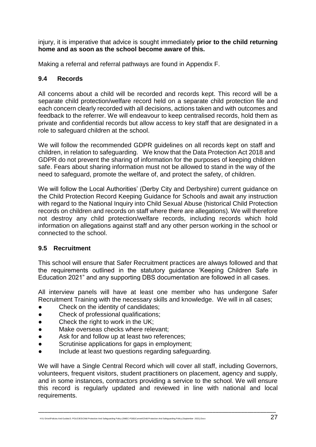injury, it is imperative that advice is sought immediately **prior to the child returning home and as soon as the school become aware of this.** 

Making a referral and referral pathways are found in Appendix F.

#### **9.4 Records**

All concerns about a child will be recorded and records kept. This record will be a separate child protection/welfare record held on a separate child protection file and each concern clearly recorded with all decisions, actions taken and with outcomes and feedback to the referrer. We will endeavour to keep centralised records, hold them as private and confidential records but allow access to key staff that are designated in a role to safeguard children at the school.

We will follow the recommended GDPR guidelines on all records kept on staff and children, in relation to safeguarding. We know that the Data Protection Act 2018 and GDPR do not prevent the sharing of information for the purposes of keeping children safe. Fears about sharing information must not be allowed to stand in the way of the need to safeguard, promote the welfare of, and protect the safety, of children.

We will follow the Local Authorities' (Derby City and Derbyshire) current guidance on the Child Protection Record Keeping Guidance for Schools and await any instruction with regard to the National Inquiry into Child Sexual Abuse (historical Child Protection records on children and records on staff where there are allegations). We will therefore not destroy any child protection/welfare records, including records which hold information on allegations against staff and any other person working in the school or connected to the school.

#### **9.5 Recruitment**

This school will ensure that Safer Recruitment practices are always followed and that the requirements outlined in the statutory guidance 'Keeping Children Safe in Education 2021" and any supporting DBS documentation are followed in all cases.

All interview panels will have at least one member who has undergone Safer Recruitment Training with the necessary skills and knowledge. We will in all cases;

- Check on the identity of candidates;
- Check of professional qualifications;
- Check the right to work in the UK;
- Make overseas checks where relevant;
- Ask for and follow up at least two references:
- Scrutinise applications for gaps in employment;
- Include at least two questions regarding safeguarding.

We will have a Single Central Record which will cover all staff, including Governors, volunteers, frequent visitors, student practitioners on placement, agency and supply, and in some instances, contractors providing a service to the school. We will ensure this record is regularly updated and reviewed in line with national and local requirements.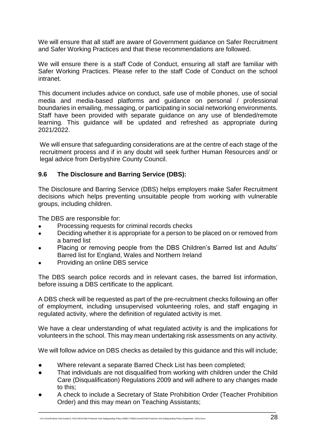We will ensure that all staff are aware of Government guidance on Safer Recruitment and Safer Working Practices and that these recommendations are followed.

We will ensure there is a staff Code of Conduct, ensuring all staff are familiar with Safer Working Practices. Please refer to the staff Code of Conduct on the school intranet.

This document includes advice on conduct, safe use of mobile phones, use of social media and media-based platforms and guidance on personal / professional boundaries in emailing, messaging, or participating in social networking environments. Staff have been provided with separate guidance on any use of blended/remote learning. This guidance will be updated and refreshed as appropriate during 2021/2022.

We will ensure that safeguarding considerations are at the centre of each stage of the recruitment process and if in any doubt will seek further Human Resources and/ or legal advice from Derbyshire County Council.

#### **9.6 The Disclosure and Barring Service (DBS):**

The Disclosure and Barring Service (DBS) helps employers make Safer Recruitment decisions which helps preventing unsuitable people from working with vulnerable groups, including children.

The DBS are responsible for:

- Processing requests for criminal records checks
- Deciding whether it is appropriate for a person to be placed on or removed from a barred list
- Placing or removing people from the DBS Children's Barred list and Adults' Barred list for England, Wales and Northern Ireland
- Providing an online DBS service

The DBS search police records and in relevant cases, the barred list information, before issuing a DBS certificate to the applicant.

A DBS check will be requested as part of the pre-recruitment checks following an offer of employment, including unsupervised volunteering roles, and staff engaging in regulated activity, where the definition of regulated activity is met.

We have a clear understanding of what regulated activity is and the implications for volunteers in the school. This may mean undertaking risk assessments on any activity.

We will follow advice on DBS checks as detailed by this guidance and this will include;

- Where relevant a separate Barred Check List has been completed;
- That individuals are not disqualified from working with children under the Child Care (Disqualification) Regulations 2009 and will adhere to any changes made to this;
- A check to include a Secretary of State Prohibition Order (Teacher Prohibition Order) and this may mean on Teaching Assistants;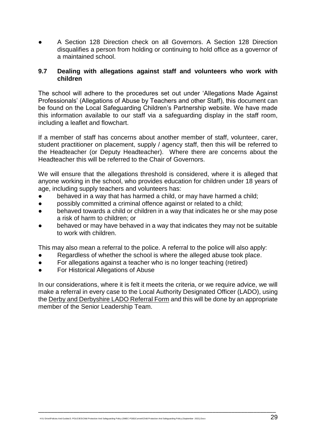A Section 128 Direction check on all Governors. A Section 128 Direction disqualifies a person from holding or continuing to hold office as a governor of a maintained school.

#### **9.7 Dealing with allegations against staff and volunteers who work with children**

The school will adhere to the procedures set out under 'Allegations Made Against Professionals' (Allegations of Abuse by Teachers and other Staff), this document can be found on the Local Safeguarding Children's Partnership website. We have made this information available to our staff via a safeguarding display in the staff room, including a leaflet and flowchart.

If a member of staff has concerns about another member of staff, volunteer, carer, student practitioner on placement, supply / agency staff, then this will be referred to the Headteacher (or Deputy Headteacher). Where there are concerns about the Headteacher this will be referred to the Chair of Governors.

We will ensure that the allegations threshold is considered, where it is alleged that anyone working in the school, who provides education for children under 18 years of age, including supply teachers and volunteers has:

- behaved in a way that has harmed a child, or may have harmed a child;
- possibly committed a criminal offence against or related to a child;
- behaved towards a child or children in a way that indicates he or she may pose a risk of harm to children; or
- behaved or may have behaved in a way that indicates they may not be suitable to work with children.

This may also mean a referral to the police. A referral to the police will also apply:

- Regardless of whether the school is where the alleged abuse took place.
- For allegations against a teacher who is no longer teaching (retired)
- For Historical Allegations of Abuse

In our considerations, where it is felt it meets the criteria, or we require advice, we will make a referral in every case to the Local Authority Designated Officer (LADO), using the [Derby and Derbyshire LADO Referral Form](http://www.proceduresonline.com/derbyshire/scbs/user_controlled_lcms_area/uploaded_files/Derby%20and%20Derbyshire%20LADO%20referral%20form%20FINAL%20March%202017.docx) and this will be done by an appropriate member of the Senior Leadership Team.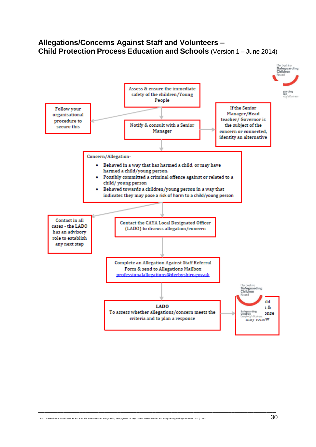#### **Allegations/Concerns Against Staff and Volunteers – Child Protection Process Education and Schools** (Version 1 – June 2014)

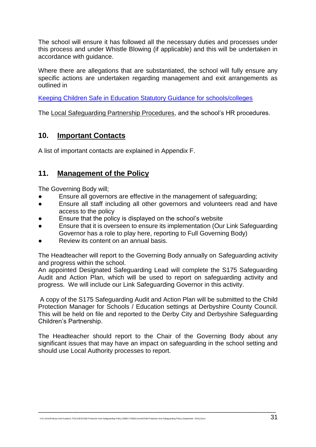The school will ensure it has followed all the necessary duties and processes under this process and under Whistle Blowing (if applicable) and this will be undertaken in accordance with guidance.

Where there are allegations that are substantiated, the school will fully ensure any specific actions are undertaken regarding management and exit arrangements as outlined in

[Keeping Children Safe in Education Statutory Guidance for schools/colleges](https://www.gov.uk/government/publications/keeping-children-safe-in-education--2)

The Local Safeguarding Partnership Procedures, and the school's HR procedures.

#### **10. Important Contacts**

A list of important contacts are explained in Appendix F.

#### **11. Management of the Policy**

The Governing Body will;

- Ensure all governors are effective in the management of safeguarding;
- Ensure all staff including all other governors and volunteers read and have access to the policy
- Ensure that the policy is displayed on the school's website
- Ensure that it is overseen to ensure its implementation (Our Link Safeguarding Governor has a role to play here, reporting to Full Governing Body)
- Review its content on an annual basis.

The Headteacher will report to the Governing Body annually on Safeguarding activity and progress within the school.

An appointed Designated Safeguarding Lead will complete the S175 Safeguarding Audit and Action Plan, which will be used to report on safeguarding activity and progress. We will include our Link Safeguarding Governor in this activity.

A copy of the S175 Safeguarding Audit and Action Plan will be submitted to the Child Protection Manager for Schools / Education settings at Derbyshire County Council. This will be held on file and reported to the Derby City and Derbyshire Safeguarding Children's Partnership.

The Headteacher should report to the Chair of the Governing Body about any significant issues that may have an impact on safeguarding in the school setting and should use Local Authority processes to report.

\_\_\_\_\_\_\_\_\_\_\_\_\_\_\_\_\_\_\_\_\_\_\_\_\_\_\_\_\_\_\_\_\_\_\_\_\_\_\_\_\_\_\_\_\_\_\_\_\_\_\_\_\_\_\_\_\_\_\_\_\_\_\_\_\_\_\_\_\_\_\_\_\_\_\_

H:\U Drive\Policies And Guides\3. POLICIES\Child Protection And Safeguarding Policy (SMEC-FGB)\Current\Child Protection And Safeguarding Policy (September 2021).Docx 31 Docx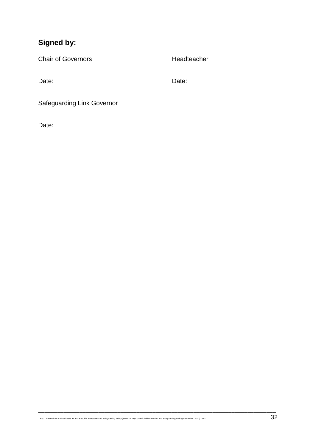## **Signed by:**

Chair of Governors **Headteacher** 

Date: **Date:** Date: **Date: Date: Date: Date: Date: Date: Date: Date: Date: Date: Date: Date: Date: Date: Date: Date: Date: Date: Date: Date: Date: Date: Date: Date: Date: D** 

Safeguarding Link Governor

Date: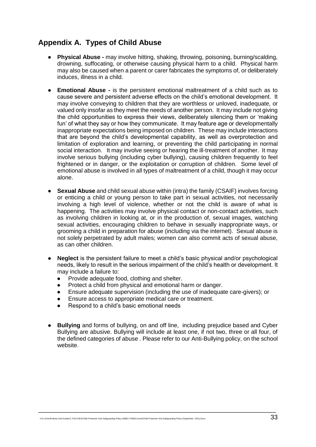#### **Appendix A. Types of Child Abuse**

- **Physical Abuse -** may involve hitting, shaking, throwing, poisoning, burning/scalding, drowning, suffocating, or otherwise causing physical harm to a child. Physical harm may also be caused when a parent or carer fabricates the symptoms of, or deliberately induces, illness in a child.
- **Emotional Abuse -** is the persistent emotional maltreatment of a child such as to cause severe and persistent adverse effects on the child's emotional development. It may involve conveying to children that they are worthless or unloved, inadequate, or valued only insofar as they meet the needs of another person. It may include not giving the child opportunities to express their views, deliberately silencing them or 'making fun' of what they say or how they communicate. It may feature age or developmentally inappropriate expectations being imposed on children. These may include interactions that are beyond the child's developmental capability, as well as overprotection and limitation of exploration and learning, or preventing the child participating in normal social interaction. It may involve seeing or hearing the ill-treatment of another. It may involve serious bullying (including cyber bullying), causing children frequently to feel frightened or in danger, or the exploitation or corruption of children. Some level of emotional abuse is involved in all types of maltreatment of a child, though it may occur alone.
- **Sexual Abuse** and child sexual abuse within (intra) the family (CSAIF) involves forcing or enticing a child or young person to take part in sexual activities, not necessarily involving a high level of violence, whether or not the child is aware of what is happening. The activities may involve physical contact or non-contact activities, such as involving children in looking at, or in the production of, sexual images, watching sexual activities, encouraging children to behave in sexually inappropriate ways, or grooming a child in preparation for abuse (including via the internet). Sexual abuse is not solely perpetrated by adult males; women can also commit acts of sexual abuse, as can other children.
- **Neglect** is the persistent failure to meet a child's basic physical and/or psychological needs, likely to result in the serious impairment of the child's health or development. It may include a failure to:
	- Provide adequate food, clothing and shelter.
	- Protect a child from physical and emotional harm or danger.
	- Ensure adequate supervision (including the use of inadequate care-givers); or
	- Ensure access to appropriate medical care or treatment.
	- Respond to a child's basic emotional needs
- **Bullying** and forms of bullying, on and off line, including prejudice based and Cyber Bullying are abusive. Bullying will include at least one, if not two, three or all four, of the defined categories of abuse . Please refer to our Anti-Bullying policy, on the school website.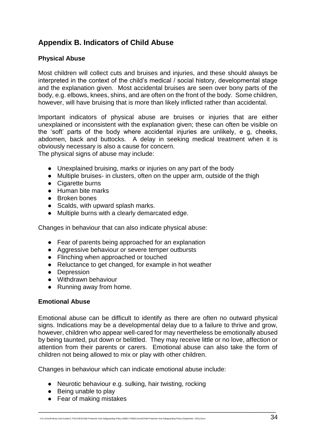## **Appendix B. Indicators of Child Abuse**

#### **Physical Abuse**

Most children will collect cuts and bruises and injuries, and these should always be interpreted in the context of the child's medical / social history, developmental stage and the explanation given. Most accidental bruises are seen over bony parts of the body, e.g. elbows, knees, shins, and are often on the front of the body. Some children, however, will have bruising that is more than likely inflicted rather than accidental.

Important indicators of physical abuse are bruises or injuries that are either unexplained or inconsistent with the explanation given; these can often be visible on the 'soft' parts of the body where accidental injuries are unlikely, e g, cheeks, abdomen, back and buttocks. A delay in seeking medical treatment when it is obviously necessary is also a cause for concern.

The physical signs of abuse may include:

- Unexplained bruising, marks or injuries on any part of the body
- Multiple bruises- in clusters, often on the upper arm, outside of the thigh
- Cigarette burns
- Human bite marks
- Broken bones
- Scalds, with upward splash marks.
- Multiple burns with a clearly demarcated edge.

Changes in behaviour that can also indicate physical abuse:

- Fear of parents being approached for an explanation
- Aggressive behaviour or severe temper outbursts
- Flinching when approached or touched
- Reluctance to get changed, for example in hot weather
- Depression
- Withdrawn behaviour
- Running away from home.

#### **Emotional Abuse**

Emotional abuse can be difficult to identify as there are often no outward physical signs. Indications may be a developmental delay due to a failure to thrive and grow, however, children who appear well-cared for may nevertheless be emotionally abused by being taunted, put down or belittled. They may receive little or no love, affection or attention from their parents or carers. Emotional abuse can also take the form of children not being allowed to mix or play with other children.

\_\_\_\_\_\_\_\_\_\_\_\_\_\_\_\_\_\_\_\_\_\_\_\_\_\_\_\_\_\_\_\_\_\_\_\_\_\_\_\_\_\_\_\_\_\_\_\_\_\_\_\_\_\_\_\_\_\_\_\_\_\_\_\_\_\_\_\_\_\_\_\_\_\_\_

Changes in behaviour which can indicate emotional abuse include:

- Neurotic behaviour e.g. sulking, hair twisting, rocking
- Being unable to play
- Fear of making mistakes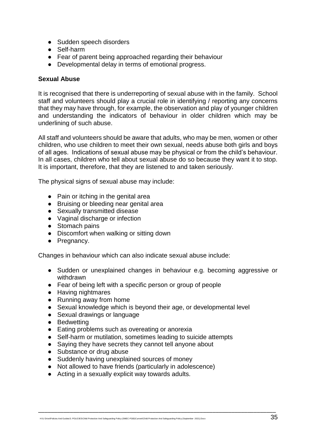- Sudden speech disorders
- Self-harm
- Fear of parent being approached regarding their behaviour
- Developmental delay in terms of emotional progress.

#### **Sexual Abuse**

It is recognised that there is underreporting of sexual abuse with in the family. School staff and volunteers should play a crucial role in identifying / reporting any concerns that they may have through, for example, the observation and play of younger children and understanding the indicators of behaviour in older children which may be underlining of such abuse.

All staff and volunteers should be aware that adults, who may be men, women or other children, who use children to meet their own sexual, needs abuse both girls and boys of all ages. Indications of sexual abuse may be physical or from the child's behaviour. In all cases, children who tell about sexual abuse do so because they want it to stop. It is important, therefore, that they are listened to and taken seriously.

The physical signs of sexual abuse may include:

- Pain or itching in the genital area
- Bruising or bleeding near genital area
- Sexually transmitted disease
- Vaginal discharge or infection
- Stomach pains
- Discomfort when walking or sitting down
- Pregnancy.

Changes in behaviour which can also indicate sexual abuse include:

- Sudden or unexplained changes in behaviour e.g. becoming aggressive or withdrawn
- Fear of being left with a specific person or group of people
- Having nightmares
- Running away from home
- Sexual knowledge which is beyond their age, or developmental level

- Sexual drawings or language
- Bedwetting
- Eating problems such as overeating or anorexia
- Self-harm or mutilation, sometimes leading to suicide attempts
- Saying they have secrets they cannot tell anyone about
- Substance or drug abuse
- Suddenly having unexplained sources of money
- Not allowed to have friends (particularly in adolescence)
- Acting in a sexually explicit way towards adults.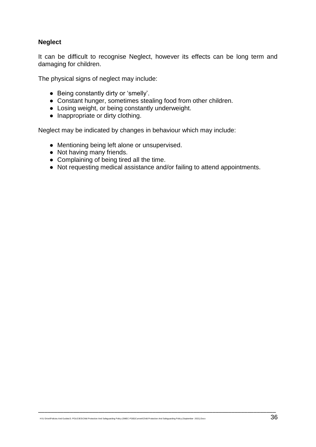#### **Neglect**

It can be difficult to recognise Neglect, however its effects can be long term and damaging for children.

The physical signs of neglect may include:

- Being constantly dirty or 'smelly'.
- Constant hunger, sometimes stealing food from other children.
- Losing weight, or being constantly underweight.
- Inappropriate or dirty clothing.

Neglect may be indicated by changes in behaviour which may include:

- Mentioning being left alone or unsupervised.
- Not having many friends.
- Complaining of being tired all the time.
- Not requesting medical assistance and/or failing to attend appointments.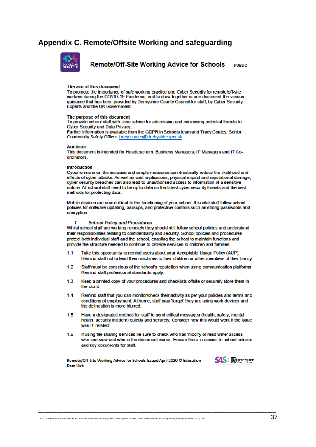#### **Appendix C. Remote/Offsite Working and safeguarding**



Remote/Off-Site Working Advice for Schools **PUDLIC** 

#### The aim of this document

To promote the importance of safe working practice and Cyber Security for remote/off-site workers during the COVID-19 Pandemic, and to draw together in one document the various guidance that has been provided by Derbyshire County Council for staff, by Cyber Security **Experts and the UK Government** 

#### The purpose of this document

To provide school staff with clear advice for addressing and minimising potential threats to **Cyber Security and Data Privacy.** 

Further information is available from the GDPR in Schools team and Tracy Coates, Senior Community Safety Officer: tracy.coates@derbyshire.gov.uk

#### **Audience**

This document is intended for Headteachers, Business Managers, IT Managers and IT Coordinators

#### Introduction

Cyber-crime is on the increase and simple measures can drastically reduce the likelihood and effects of cyber-attacks. As well as cost implications, physical impact and reputational damage, cyber security breaches can also lead to unauthorised access to information of a sensitive nature. All school staff need to be up to date on the latest cyber security threats and the best methods for protecting data.

Mobile devices are now critical to the functioning of your school. It is vital staff follow school policies for software-updating, backups, and protective-controls such as strong passwords and encryption.

#### **School Policy and Procedures**

Whilst school staff are working remotely they should still follow school policies and understand their responsibilities relating to confidentiality and security. School policies and procedures protect both individual staff and the school, enabling the school to maintain functions and provide the structure needed to continue to provide services to children and families.

- Take this opportunity to remind users about your Acceptable Usage Policy (AUP). 11 Remind staff not to lend their machines to their children or other members of their family.
- Staff must be conscious of the school's reputation when using communication platforms. 12 Remind staff professional standards apply.
- $13$ Keep a printed copy of your procedures and checklists offsite or securely store them in the cloud.
- 14 Remind staff that you can monitor/check their activity as per your policies and terms and conditions of employment. At home, staff may 'forget' they are using work devices and the delineation is more blurred.
- 15 Have a designated method for staff to send critical messages (health, safety, mental health, security incident) quickly and securely. Consider how this would work if the issue was IT related.
- $1.6$ If using file sharing services be sure to check who has 'modify or read-write' access, who can view and who is the document owner. Ensure there is access to school policies and key documents for staff.

\_\_\_\_\_\_\_\_\_\_\_\_\_\_\_\_\_\_\_\_\_\_\_\_\_\_\_\_\_\_\_\_\_\_\_\_\_\_\_\_\_\_\_\_\_\_\_\_\_\_\_\_\_\_\_\_\_\_\_\_\_\_\_\_\_\_\_\_\_\_\_\_\_\_\_

Remote/Off-Site Working Advice for Schools Issued April 2020 © Education **Data Hub** 

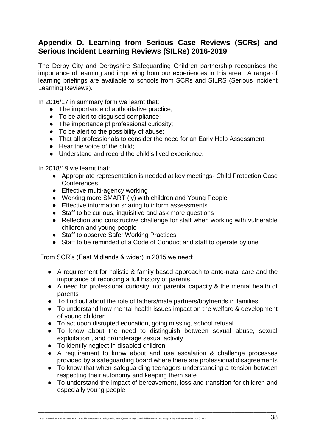#### **Appendix D. Learning from Serious Case Reviews (SCRs) and Serious Incident Learning Reviews (SILRs) 2016-2019**

The Derby City and Derbyshire Safeguarding Children partnership recognises the importance of learning and improving from our experiences in this area. A range of learning briefings are available to schools from SCRs and SILRS (Serious Incident Learning Reviews).

In 2016/17 in summary form we learnt that:

- The importance of authoritative practice;
- To be alert to disquised compliance;
- The importance pf professional curiosity;
- To be alert to the possibility of abuse;
- That all professionals to consider the need for an Early Help Assessment;
- Hear the voice of the child;
- Understand and record the child's lived experience.

In 2018/19 we learnt that:

- Appropriate representation is needed at key meetings- Child Protection Case **Conferences**
- Effective multi-agency working
- Working more SMART (ly) with children and Young People
- Effective information sharing to inform assessments
- Staff to be curious, inquisitive and ask more questions
- Reflection and constructive challenge for staff when working with vulnerable children and young people
- Staff to observe Safer Working Practices
- Staff to be reminded of a Code of Conduct and staff to operate by one

From SCR's (East Midlands & wider) in 2015 we need:

- A requirement for holistic & family based approach to ante-natal care and the importance of recording a full history of parents
- A need for professional curiosity into parental capacity & the mental health of parents
- To find out about the role of fathers/male partners/boyfriends in families
- To understand how mental health issues impact on the welfare & development of young children
- To act upon disrupted education, going missing, school refusal
- To know about the need to distinguish between sexual abuse, sexual exploitation , and or/underage sexual activity
- To identify neglect in disabled children
- A requirement to know about and use escalation & challenge processes provided by a safeguarding board where there are professional disagreements
- To know that when safeguarding teenagers understanding a tension between respecting their autonomy and keeping them safe
- To understand the impact of bereavement, loss and transition for children and especially young people

\_\_\_\_\_\_\_\_\_\_\_\_\_\_\_\_\_\_\_\_\_\_\_\_\_\_\_\_\_\_\_\_\_\_\_\_\_\_\_\_\_\_\_\_\_\_\_\_\_\_\_\_\_\_\_\_\_\_\_\_\_\_\_\_\_\_\_\_\_\_\_\_\_\_\_

H:\U Drive\Policies And Guides\3. POLICIES\Child Protection And Safeguarding Policy (SMEC-FGB)\Current\Child Protection And Safeguarding Policy (September 2021).Docx 389 (389).Dock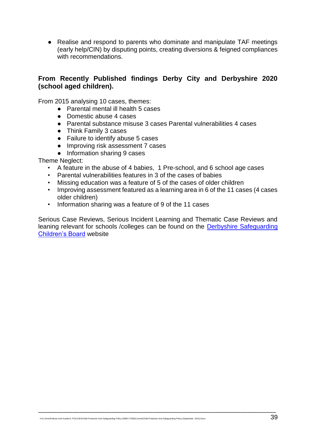● Realise and respond to parents who dominate and manipulate TAF meetings (early help/CIN) by disputing points, creating diversions & feigned compliances with recommendations.

#### **From Recently Published findings Derby City and Derbyshire 2020 (school aged children).**

From 2015 analysing 10 cases, themes:

- Parental mental ill health 5 cases
- Domestic abuse 4 cases
- Parental substance misuse 3 cases Parental vulnerabilities 4 cases
- Think Family 3 cases
- Failure to identify abuse 5 cases
- Improving risk assessment 7 cases
- Information sharing 9 cases

Theme Neglect:

- A feature in the abuse of 4 babies, 1 Pre-school, and 6 school age cases
- Parental vulnerabilities features in 3 of the cases of babies
- Missing education was a feature of 5 of the cases of older children
- Improving assessment featured as a learning area in 6 of the 11 cases (4 cases older children)
- Information sharing was a feature of 9 of the 11 cases

Serious Case Reviews, Serious Incident Learning and Thematic Case Reviews and leaning relevant for schools /colleges can be found on the [Derbyshire Safeguarding](http://www.derbyshirescb.org.uk/professionals/serious-case-reviews/default.asp)  [Children's Board](http://www.derbyshirescb.org.uk/professionals/serious-case-reviews/default.asp) website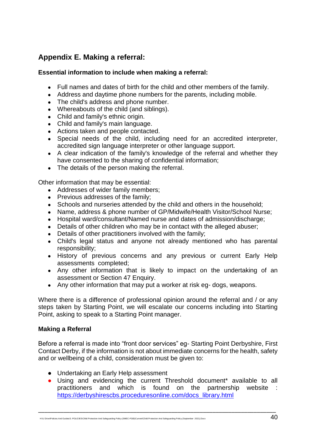## **Appendix E. Making a referral:**

#### **Essential information to include when making a referral:**

- Full names and dates of birth for the child and other members of the family.
- Address and daytime phone numbers for the parents, including mobile.
- The child's address and phone number.
- Whereabouts of the child (and siblings).
- Child and family's ethnic origin.
- Child and family's main language.
- Actions taken and people contacted.
- Special needs of the child, including need for an accredited interpreter, accredited sign language interpreter or other language support.
- A clear indication of the family's knowledge of the referral and whether they have consented to the sharing of confidential information;
- The details of the person making the referral.

Other information that may be essential:

- Addresses of wider family members:
- Previous addresses of the family;
- Schools and nurseries attended by the child and others in the household;
- Name, address & phone number of GP/Midwife/Health Visitor/School Nurse;
- Hospital ward/consultant/Named nurse and dates of admission/discharge;
- Details of other children who may be in contact with the alleged abuser:
- Details of other practitioners involved with the family;
- Child's legal status and anyone not already mentioned who has parental responsibility;
- History of previous concerns and any previous or current Early Help assessments completed;
- Any other information that is likely to impact on the undertaking of an assessment or [Section 47 Enquiry.](http://trixresources.proceduresonline.com/nat_key/keywords/sec_47_enq.html)
- Any other information that may put a worker at risk eg- dogs, weapons.

Where there is a difference of professional opinion around the referral and / or any steps taken by Starting Point, we will escalate our concerns including into Starting Point, asking to speak to a Starting Point manager.

#### **Making a Referral**

Before a referral is made into "front door services" eg- Starting Point Derbyshire, First Contact Derby, if the information is not about immediate concerns for the health, safety and or wellbeing of a child, consideration must be given to:

- Undertaking an Early Help assessment
- Using and evidencing the current Threshold document\* available to all practitioners and which is found on the partnership website : [https://derbyshirescbs.proceduresonline.com/docs\\_library.html](https://derbyshirescbs.proceduresonline.com/docs_library.html)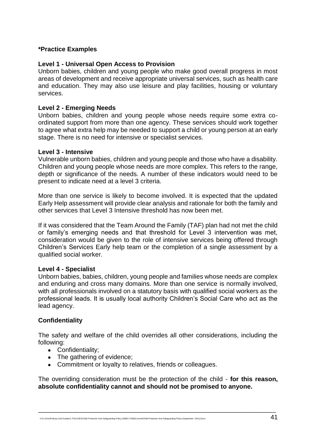#### **\*Practice Examples**

#### **Level 1 - Universal Open Access to Provision**

Unborn babies, children and young people who make good overall progress in most areas of development and receive appropriate universal services, such as health care and education. They may also use leisure and play facilities, housing or voluntary services.

#### **Level 2 - Emerging Needs**

Unborn babies, children and young people whose needs require some extra coordinated support from more than one agency. These services should work together to agree what extra help may be needed to support a child or young person at an early stage. There is no need for intensive or specialist services.

#### **Level 3 - Intensive**

Vulnerable unborn babies, children and young people and those who have a disability. Children and young people whose needs are more complex. This refers to the range, depth or significance of the needs. A number of these indicators would need to be present to indicate need at a level 3 criteria.

More than one service is likely to become involved. It is expected that the updated Early Help assessment will provide clear analysis and rationale for both the family and other services that Level 3 Intensive threshold has now been met.

If it was considered that the Team Around the Family (TAF) plan had not met the child or family's emerging needs and that threshold for Level 3 intervention was met, consideration would be given to the role of intensive services being offered through Children's Services Early help team or the completion of a single assessment by a qualified social worker.

#### **Level 4 - Specialist**

Unborn babies, babies, children, young people and families whose needs are complex and enduring and cross many domains. More than one service is normally involved, with all professionals involved on a statutory basis with qualified social workers as the professional leads. It is usually local authority Children's Social Care who act as the lead agency.

#### **Confidentiality**

The safety and welfare of the child overrides all other considerations, including the following:

- Confidentiality:
- The gathering of evidence;
- Commitment or loyalty to relatives, friends or colleagues.

The overriding consideration must be the protection of the child - **for this reason, absolute confidentiality cannot and should not be promised to anyone.**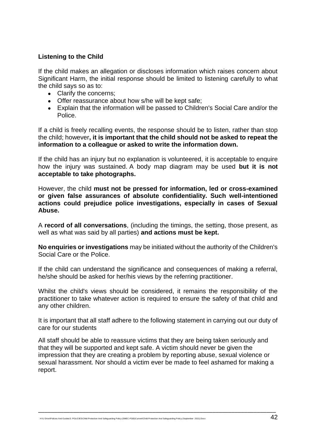#### **Listening to the Child**

If the child makes an allegation or discloses information which raises concern about Significant Harm, the initial response should be limited to listening carefully to what the child says so as to:

- Clarify the concerns:
- Offer reassurance about how s/he will be kept safe;
- Explain that the information will be passed to Children's Social Care and/or the Police.

If a child is freely recalling events, the response should be to listen, rather than stop the child; however**, it is important that the child should not be asked to repeat the information to a colleague or asked to write the information down.**

If the child has an injury but no explanation is volunteered, it is acceptable to enquire how the injury was sustained. A body map diagram may be used **but it is not acceptable to take photographs.**

However, the child **must not be pressed for information, led or cross-examined or given false assurances of absolute confidentiality. Such well-intentioned actions could prejudice police investigations, especially in cases of Sexual Abuse.**

A **record of all conversations**, (including the timings, the setting, those present, as well as what was said by all parties) **and actions must be kept.**

**No enquiries or investigations** may be initiated without the authority of the Children's Social Care or the Police.

If the child can understand the significance and consequences of making a referral, he/she should be asked for her/his views by the referring practitioner.

Whilst the child's views should be considered, it remains the responsibility of the practitioner to take whatever action is required to ensure the safety of that child and any other children.

It is important that all staff adhere to the following statement in carrying out our duty of care for our students

All staff should be able to reassure victims that they are being taken seriously and that they will be supported and kept safe. A victim should never be given the impression that they are creating a problem by reporting abuse, sexual violence or sexual harassment. Nor should a victim ever be made to feel ashamed for making a report.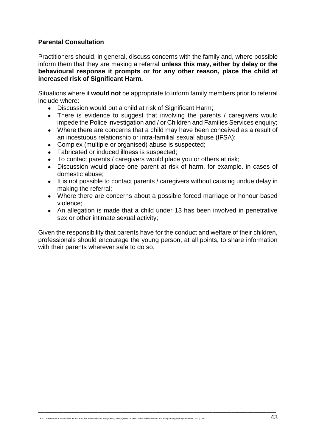#### **Parental Consultation**

Practitioners should, in general, discuss concerns with the family and, where possible inform them that they are making a referral **unless this may, either by delay or the behavioural response it prompts or for any other reason, place the child at increased risk of Significant Harm.**

Situations where it **would not** be appropriate to inform family members prior to referral include where:

- Discussion would put a child at risk of Significant Harm;
- There is evidence to suggest that involving the parents / caregivers would impede the Police investigation and / or Children and Families Services enquiry;
- Where there are concerns that a child may have been conceived as a result of an incestuous relationship or intra-familial sexual abuse (IFSA);
- Complex (multiple or organised) abuse is suspected;
- Fabricated or induced illness is suspected;
- To contact parents / caregivers would place you or others at risk;
- Discussion would place one parent at risk of harm, for example. in cases of domestic abuse;
- It is not possible to contact parents / caregivers without causing undue delay in making the referral;
- Where there are concerns about a possible forced marriage or honour based violence;
- An allegation is made that a child under 13 has been involved in penetrative sex or other intimate sexual activity;

Given the responsibility that parents have for the conduct and welfare of their children, professionals should encourage the young person, at all points, to share information with their parents wherever safe to do so.